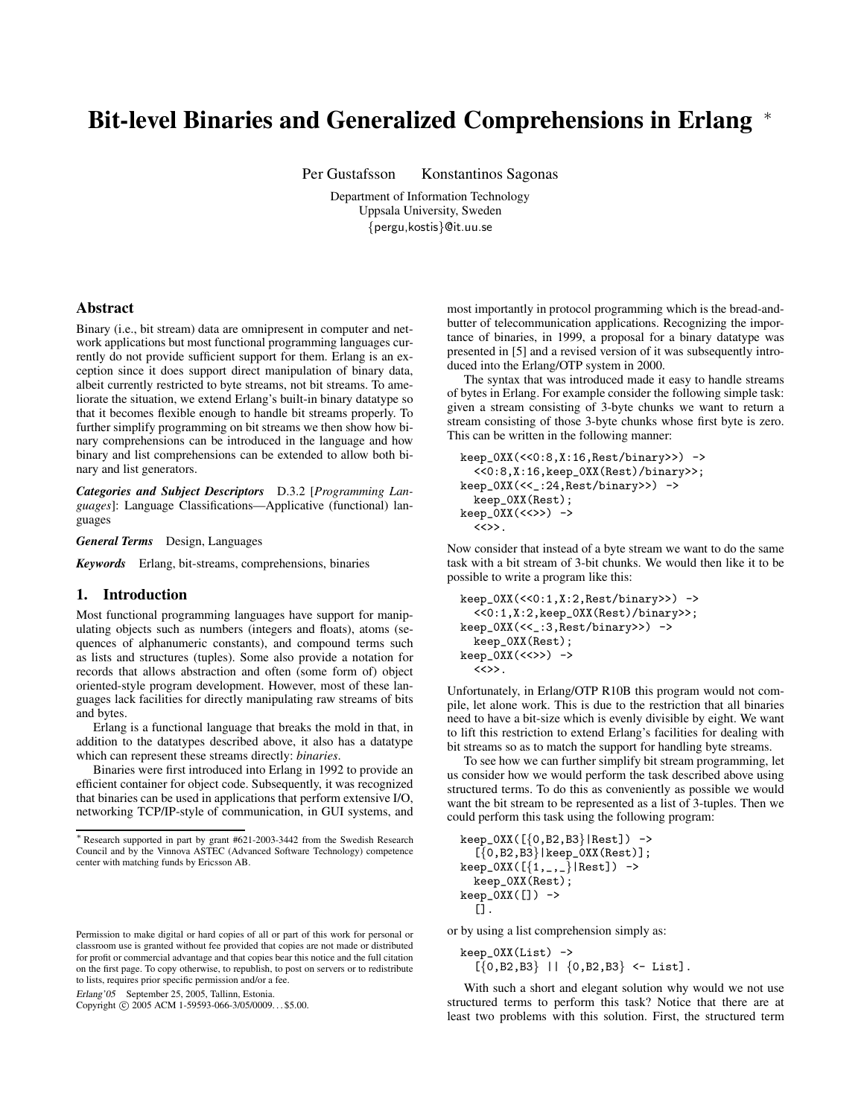# **Bit-level Binaries and Generalized Comprehensions in Erlang** <sup>∗</sup>

Per Gustafsson Konstantinos Sagonas

Department of Information Technology Uppsala University, Sweden {pergu,kostis}@it.uu.se

## **Abstract**

Binary (i.e., bit stream) data are omnipresent in computer and network applications but most functional programming languages currently do not provide sufficient support for them. Erlang is an exception since it does support direct manipulation of binary data, albeit currently restricted to byte streams, not bit streams. To ameliorate the situation, we extend Erlang's built-in binary datatype so that it becomes flexible enough to handle bit streams properly. To further simplify programming on bit streams we then show how binary comprehensions can be introduced in the language and how binary and list comprehensions can be extended to allow both binary and list generators.

*Categories and Subject Descriptors* D.3.2 [*Programming Languages*]: Language Classifications—Applicative (functional) languages

*General Terms* Design, Languages

*Keywords* Erlang, bit-streams, comprehensions, binaries

## **1. Introduction**

Most functional programming languages have support for manipulating objects such as numbers (integers and floats), atoms (sequences of alphanumeric constants), and compound terms such as lists and structures (tuples). Some also provide a notation for records that allows abstraction and often (some form of) object oriented-style program development. However, most of these languages lack facilities for directly manipulating raw streams of bits and bytes.

Erlang is a functional language that breaks the mold in that, in addition to the datatypes described above, it also has a datatype which can represent these streams directly: *binaries*.

Binaries were first introduced into Erlang in 1992 to provide an efficient container for object code. Subsequently, it was recognized that binaries can be used in applications that perform extensive I/O, networking TCP/IP-style of communication, in GUI systems, and

Erlang'05 September 25, 2005, Tallinn, Estonia.

Copyright © 2005 ACM 1-59593-066-3/05/0009... \$5.00.

most importantly in protocol programming which is the bread-andbutter of telecommunication applications. Recognizing the importance of binaries, in 1999, a proposal for a binary datatype was presented in [5] and a revised version of it was subsequently introduced into the Erlang/OTP system in 2000.

The syntax that was introduced made it easy to handle streams of bytes in Erlang. For example consider the following simple task: given a stream consisting of 3-byte chunks we want to return a stream consisting of those 3-byte chunks whose first byte is zero. This can be written in the following manner:

```
keep_0XX(<<0:8,X:16,Rest/binary>>) ->
  <<0:8,X:16,keep_0XX(Rest)/binary>>;
keep_0XX(<<_:24,Rest/binary>>) ->
  keep_0XX(Rest);
keep_0XX(<<>>) ->
  \langle \langle \rangle \rangle.
```
Now consider that instead of a byte stream we want to do the same task with a bit stream of 3-bit chunks. We would then like it to be possible to write a program like this:

```
keep_0XX(<<0:1,X:2,Rest/binary>>) ->
  <<0:1,X:2,keep_0XX(Rest)/binary>>;
keep_0XX(<<_:3,Rest/binary>>) ->
  keep_0XX(Rest);
keep_0XX(<<>>) ->
  \langle \langle \rangle \rangle.
```
Unfortunately, in Erlang/OTP R10B this program would not compile, let alone work. This is due to the restriction that all binaries need to have a bit-size which is evenly divisible by eight. We want to lift this restriction to extend Erlang's facilities for dealing with bit streams so as to match the support for handling byte streams.

To see how we can further simplify bit stream programming, let us consider how we would perform the task described above using structured terms. To do this as conveniently as possible we would want the bit stream to be represented as a list of 3-tuples. Then we could perform this task using the following program:

```
keep_0XX([{0,B2,B3}|Rest]) ->
   \left[\{0,B2,B3\}\right] | keep_0XX(Rest)];
keep_OXX([{1, ...,}]|Rest]) ->
  keep_0XX(Rest);
keep_0XX([]) \rightarrow[].
```
or by using a list comprehension simply as:

keep\_0XX(List) ->  $[{0, B2, B3} \mid | {0, B2, B3} \leftarrow List].$ 

With such a short and elegant solution why would we not use structured terms to perform this task? Notice that there are at least two problems with this solution. First, the structured term

<sup>∗</sup> Research supported in part by grant #621-2003-3442 from the Swedish Research Council and by the Vinnova ASTEC (Advanced Software Technology) competence center with matching funds by Ericsson AB.

Permission to make digital or hard copies of all or part of this work for personal or classroom use is granted without fee provided that copies are not made or distributed for profit or commercial advantage and that copies bear this notice and the full citation on the first page. To copy otherwise, to republish, to post on servers or to redistribute to lists, requires prior specific permission and/or a fee.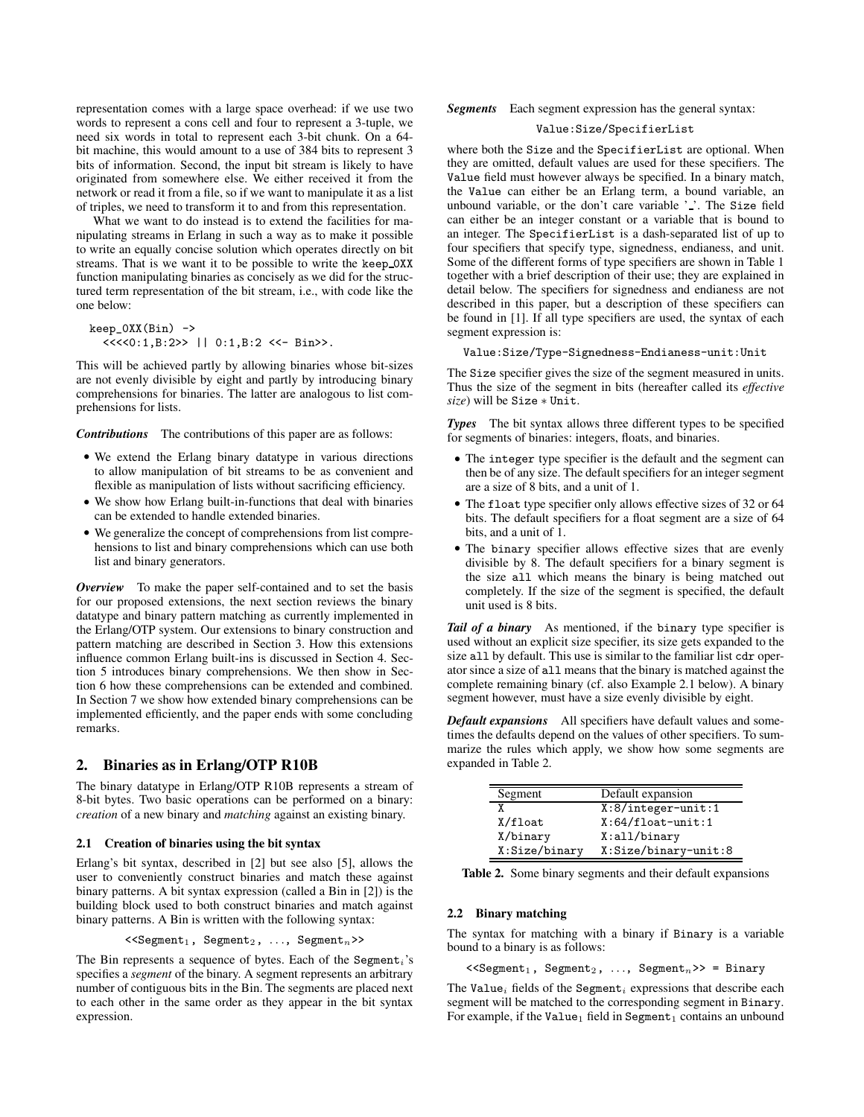representation comes with a large space overhead: if we use two words to represent a cons cell and four to represent a 3-tuple, we need six words in total to represent each 3-bit chunk. On a 64 bit machine, this would amount to a use of 384 bits to represent 3 bits of information. Second, the input bit stream is likely to have originated from somewhere else. We either received it from the network or read it from a file, so if we want to manipulate it as a list of triples, we need to transform it to and from this representation.

What we want to do instead is to extend the facilities for manipulating streams in Erlang in such a way as to make it possible to write an equally concise solution which operates directly on bit streams. That is we want it to be possible to write the keep 0XX function manipulating binaries as concisely as we did for the structured term representation of the bit stream, i.e., with code like the one below:

```
keep_0XX(Bin) ->
  <<<<0:1,B:2>> || 0:1,B:2 <<- Bin>>.
```
This will be achieved partly by allowing binaries whose bit-sizes are not evenly divisible by eight and partly by introducing binary comprehensions for binaries. The latter are analogous to list comprehensions for lists.

*Contributions* The contributions of this paper are as follows:

- We extend the Erlang binary datatype in various directions to allow manipulation of bit streams to be as convenient and flexible as manipulation of lists without sacrificing efficiency.
- We show how Erlang built-in-functions that deal with binaries can be extended to handle extended binaries.
- We generalize the concept of comprehensions from list comprehensions to list and binary comprehensions which can use both list and binary generators.

*Overview* To make the paper self-contained and to set the basis for our proposed extensions, the next section reviews the binary datatype and binary pattern matching as currently implemented in the Erlang/OTP system. Our extensions to binary construction and pattern matching are described in Section 3. How this extensions influence common Erlang built-ins is discussed in Section 4. Section 5 introduces binary comprehensions. We then show in Section 6 how these comprehensions can be extended and combined. In Section 7 we show how extended binary comprehensions can be implemented efficiently, and the paper ends with some concluding remarks.

# **2. Binaries as in Erlang/OTP R10B**

The binary datatype in Erlang/OTP R10B represents a stream of 8-bit bytes. Two basic operations can be performed on a binary: *creation* of a new binary and *matching* against an existing binary.

#### **2.1 Creation of binaries using the bit syntax**

Erlang's bit syntax, described in [2] but see also [5], allows the user to conveniently construct binaries and match these against binary patterns. A bit syntax expression (called a Bin in [2]) is the building block used to both construct binaries and match against binary patterns. A Bin is written with the following syntax:

```
\leqSegment<sub>1</sub>, Segment<sub>2</sub>, ..., Segment<sub>n</sub>>>
```
The Bin represents a sequence of bytes. Each of the Segment<sub>i</sub>'s specifies a *segment* of the binary. A segment represents an arbitrary number of contiguous bits in the Bin. The segments are placed next to each other in the same order as they appear in the bit syntax expression.

### *Segments* Each segment expression has the general syntax:

## Value:Size/SpecifierList

where both the Size and the SpecifierList are optional. When they are omitted, default values are used for these specifiers. The Value field must however always be specified. In a binary match, the Value can either be an Erlang term, a bound variable, an unbound variable, or the don't care variable ' '. The Size field can either be an integer constant or a variable that is bound to an integer. The SpecifierList is a dash-separated list of up to four specifiers that specify type, signedness, endianess, and unit. Some of the different forms of type specifiers are shown in Table 1 together with a brief description of their use; they are explained in detail below. The specifiers for signedness and endianess are not described in this paper, but a description of these specifiers can be found in [1]. If all type specifiers are used, the syntax of each segment expression is:

Value:Size/Type-Signedness-Endianess-unit:Unit

The Size specifier gives the size of the segment measured in units. Thus the size of the segment in bits (hereafter called its *effective size*) will be Size ∗ Unit.

*Types* The bit syntax allows three different types to be specified for segments of binaries: integers, floats, and binaries.

- The integer type specifier is the default and the segment can then be of any size. The default specifiers for an integer segment are a size of 8 bits, and a unit of 1.
- The float type specifier only allows effective sizes of 32 or 64 bits. The default specifiers for a float segment are a size of 64 bits, and a unit of 1.
- The binary specifier allows effective sizes that are evenly divisible by 8. The default specifiers for a binary segment is the size all which means the binary is being matched out completely. If the size of the segment is specified, the default unit used is 8 bits.

*Tail of a binary* As mentioned, if the binary type specifier is used without an explicit size specifier, its size gets expanded to the size all by default. This use is similar to the familiar list cdr operator since a size of all means that the binary is matched against the complete remaining binary (cf. also Example 2.1 below). A binary segment however, must have a size evenly divisible by eight.

*Default expansions* All specifiers have default values and sometimes the defaults depend on the values of other specifiers. To summarize the rules which apply, we show how some segments are expanded in Table 2.

| Segment       | Default expansion     |
|---------------|-----------------------|
|               | $X:8/interger-unit:1$ |
| X/float       | $X:64/f$ loat-unit:1  |
| X/binary      | X:all/binary          |
| X:Size/binary | X:Size/binary-unit:8  |

**Table 2.** Some binary segments and their default expansions

### **2.2 Binary matching**

The syntax for matching with a binary if Binary is a variable bound to a binary is as follows:

 $\leq$ Segment<sub>1</sub>, Segment<sub>2</sub>, ..., Segment<sub>n</sub>>> = Binary

The Value<sub>i</sub> fields of the Segment<sub>i</sub> expressions that describe each segment will be matched to the corresponding segment in Binary. For example, if the Value<sub>1</sub> field in Segment<sub>1</sub> contains an unbound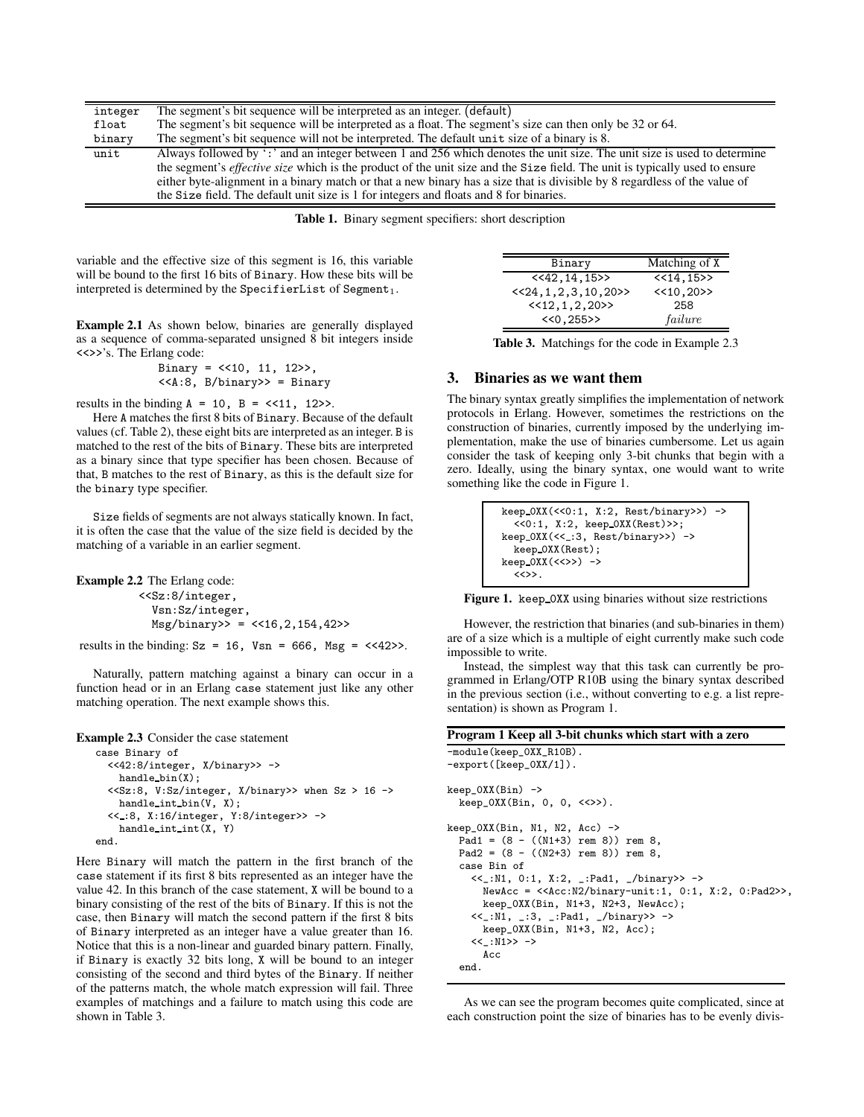| integer | The segment's bit sequence will be interpreted as an integer. (default)                                                            |
|---------|------------------------------------------------------------------------------------------------------------------------------------|
| float   | The segment's bit sequence will be interpreted as a float. The segment's size can then only be 32 or 64.                           |
| binary  | The segment's bit sequence will not be interpreted. The default unit size of a binary is 8.                                        |
| unit    | Always followed by ': ' and an integer between 1 and 256 which denotes the unit size. The unit size is used to determine           |
|         | the segment's <i>effective size</i> which is the product of the unit size and the Size field. The unit is typically used to ensure |
|         | either byte-alignment in a binary match or that a new binary has a size that is divisible by 8 regardless of the value of          |
|         | the Size field. The default unit size is 1 for integers and floats and 8 for binaries.                                             |

**Table 1.** Binary segment specifiers: short description

variable and the effective size of this segment is 16, this variable will be bound to the first 16 bits of Binary. How these bits will be interpreted is determined by the SpecifierList of Segment<sub>1</sub>.

**Example 2.1** As shown below, binaries are generally displayed as a sequence of comma-separated unsigned 8 bit integers inside <<>>'s. The Erlang code:

$$
Binary = << 10, 11, 12 >> , \\ << A:8, B/binary >> = Binary
$$

results in the binding  $A = 10$ ,  $B = \langle \langle 11, 12 \rangle \rangle$ .

Here A matches the first 8 bits of Binary. Because of the default values (cf. Table 2), these eight bits are interpreted as an integer. B is matched to the rest of the bits of Binary. These bits are interpreted as a binary since that type specifier has been chosen. Because of that, B matches to the rest of Binary, as this is the default size for the binary type specifier.

Size fields of segments are not always statically known. In fact, it is often the case that the value of the size field is decided by the matching of a variable in an earlier segment.

```
Example 2.2 The Erlang code:
```
<<Sz:8/integer, Vsn:Sz/integer,  $Msg/binary$  = <<16,2,154,42>>

results in the binding:  $Sz = 16$ ,  $Vsn = 666$ ,  $Msg = \langle \langle 42 \rangle \rangle$ .

Naturally, pattern matching against a binary can occur in a function head or in an Erlang case statement just like any other matching operation. The next example shows this.

**Example 2.3** Consider the case statement

```
case Binary of
 <<42:8/integer, X/binary>> ->
   handle bin(X);
  <<Sz:8, V:Sz/integer, X/binary>> when Sz > 16 ->
   handle_int_bin(V, X);
  << :8, X:16/integer, Y:8/integer>> ->
    handle int int(X, Y)
end.
```
Here Binary will match the pattern in the first branch of the case statement if its first 8 bits represented as an integer have the value 42. In this branch of the case statement, X will be bound to a binary consisting of the rest of the bits of Binary. If this is not the case, then Binary will match the second pattern if the first 8 bits of Binary interpreted as an integer have a value greater than 16. Notice that this is a non-linear and guarded binary pattern. Finally, if Binary is exactly 32 bits long, X will be bound to an integer consisting of the second and third bytes of the Binary. If neither of the patterns match, the whole match expression will fail. Three examples of matchings and a failure to match using this code are shown in Table 3.

| Binary                                | Matching of X |
|---------------------------------------|---------------|
| $<<$ 42, 14, 15>>                     | <<14,15>>     |
| $\langle 24, 1, 2, 3, 10, 20 \rangle$ | << 10.20>>    |
| $\langle 12, 1, 2, 20 \rangle$        | 258           |
| <<0,255>>                             | failure       |

**Table 3.** Matchings for the code in Example 2.3

## **3. Binaries as we want them**

The binary syntax greatly simplifies the implementation of network protocols in Erlang. However, sometimes the restrictions on the construction of binaries, currently imposed by the underlying implementation, make the use of binaries cumbersome. Let us again consider the task of keeping only 3-bit chunks that begin with a zero. Ideally, using the binary syntax, one would want to write something like the code in Figure 1.

```
keep 0XX(<<0:1, X:2, Rest/binary>>) ->
  <<0:1, X:2, keep 0XX(Rest)>>;
keep 0XX(<< :3, Rest/binary>>) ->
  keep 0XX(Rest);
keep_0XX(<<>>) ->
  \langle \Leftrightarrow \rangle.
```
**Figure 1.** keep 0XX using binaries without size restrictions

However, the restriction that binaries (and sub-binaries in them) are of a size which is a multiple of eight currently make such code impossible to write.

Instead, the simplest way that this task can currently be programmed in Erlang/OTP R10B using the binary syntax described in the previous section (i.e., without converting to e.g. a list representation) is shown as Program 1.

```
Program 1 Keep all 3-bit chunks which start with a zero
-module(keep_0XX_R10B).
-export([keep_0XX/1]).
keep_0XX(Bin) ->
  keep_0XX(Bin, 0, 0, <<>>).
keep_0XX(Bin, N1, N2, Acc) ->
  Pad1 = (8 - ((N1+3) rem 8)) rem 8,
  Pad2 = (8 - ((N2+3) rem 8)) rem 8,
  case Bin of
    <<_:N1, 0:1, X:2, _:Pad1, _/binary>> ->
      NewAcc = <<Acc:N2/binary-unit:1, 0:1, X:2, 0:Pad2>>,
      keep_0XX(Bin, N1+3, N2+3, NewAcc);
    <<_:N1, _:3, _:Pad1, _/binary>> ->
      keep_0XX(Bin, N1+3, N2, Acc);
    <<_:N1>> ->
      Acc
  end.
```
As we can see the program becomes quite complicated, since at each construction point the size of binaries has to be evenly divis-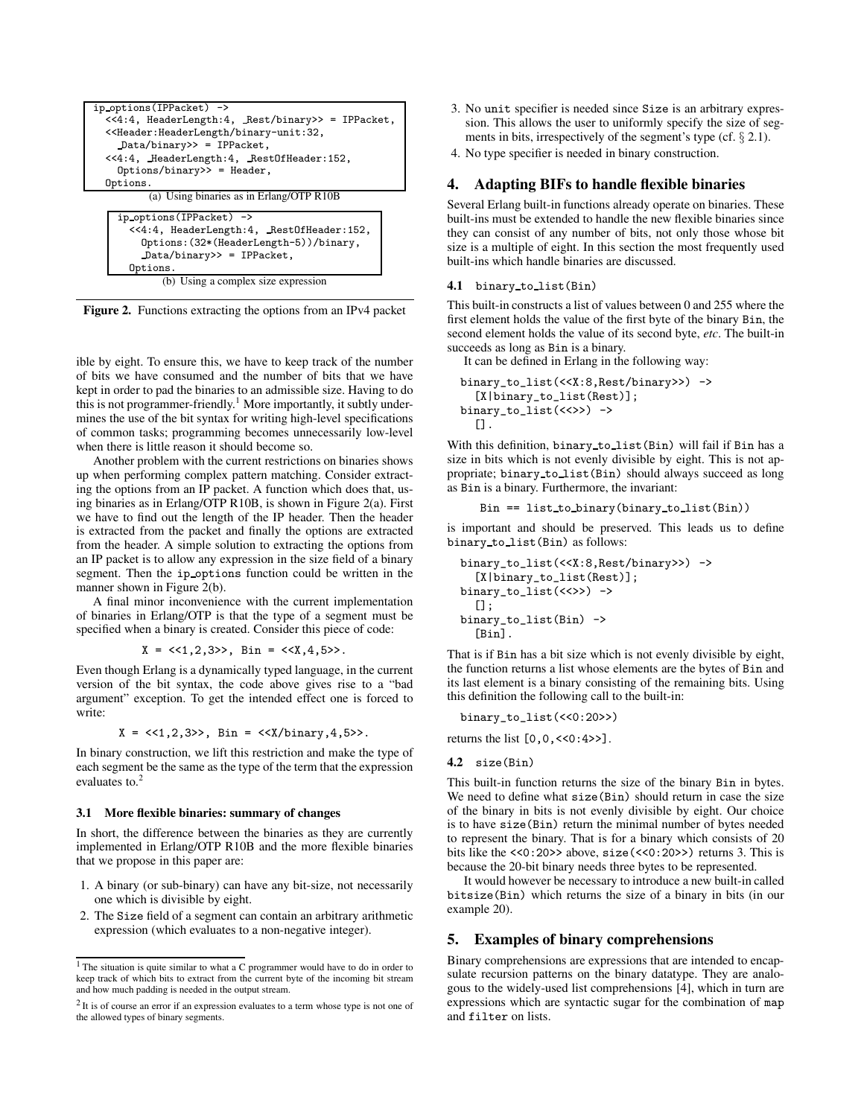

**Figure 2.** Functions extracting the options from an IPv4 packet

ible by eight. To ensure this, we have to keep track of the number of bits we have consumed and the number of bits that we have kept in order to pad the binaries to an admissible size. Having to do this is not programmer-friendly.<sup>1</sup> More importantly, it subtly undermines the use of the bit syntax for writing high-level specifications of common tasks; programming becomes unnecessarily low-level when there is little reason it should become so.

Another problem with the current restrictions on binaries shows up when performing complex pattern matching. Consider extracting the options from an IP packet. A function which does that, using binaries as in Erlang/OTP R10B, is shown in Figure 2(a). First we have to find out the length of the IP header. Then the header is extracted from the packet and finally the options are extracted from the header. A simple solution to extracting the options from an IP packet is to allow any expression in the size field of a binary segment. Then the ip options function could be written in the manner shown in Figure 2(b).

A final minor inconvenience with the current implementation of binaries in Erlang/OTP is that the type of a segment must be specified when a binary is created. Consider this piece of code:

$$
X = \langle 1, 2, 3 \rangle
$$
, Bin =  $\langle 4, 4, 5 \rangle$ .

Even though Erlang is a dynamically typed language, in the current version of the bit syntax, the code above gives rise to a "bad argument" exception. To get the intended effect one is forced to write:

$$
X = \langle \langle 1, 2, 3 \rangle \rangle
$$
,  $Bin = \langle \langle X/binary, 4, 5 \rangle \rangle$ .

In binary construction, we lift this restriction and make the type of each segment be the same as the type of the term that the expression evaluates to.<sup>2</sup>

#### **3.1 More flexible binaries: summary of changes**

In short, the difference between the binaries as they are currently implemented in Erlang/OTP R10B and the more flexible binaries that we propose in this paper are:

- 1. A binary (or sub-binary) can have any bit-size, not necessarily one which is divisible by eight.
- 2. The Size field of a segment can contain an arbitrary arithmetic expression (which evaluates to a non-negative integer).
- 3. No unit specifier is needed since Size is an arbitrary expression. This allows the user to uniformly specify the size of segments in bits, irrespectively of the segment's type (cf.  $\S 2.1$ ).
- 4. No type specifier is needed in binary construction.

# **4. Adapting BIFs to handle flexible binaries**

Several Erlang built-in functions already operate on binaries. These built-ins must be extended to handle the new flexible binaries since they can consist of any number of bits, not only those whose bit size is a multiple of eight. In this section the most frequently used built-ins which handle binaries are discussed.

# **4.1** binary to list(Bin)

This built-in constructs a list of values between 0 and 255 where the first element holds the value of the first byte of the binary Bin, the second element holds the value of its second byte, *etc*. The built-in succeeds as long as Bin is a binary.

It can be defined in Erlang in the following way:

```
binary_to_list(<<X:8,Rest/binary>>) ->
  [X|binary_to_list(Rest)];
binary_to_list(<<>>) ->
  [].
```
With this definition, binary to list(Bin) will fail if Bin has a size in bits which is not evenly divisible by eight. This is not appropriate; binary to list(Bin) should always succeed as long as Bin is a binary. Furthermore, the invariant:

```
Bin == list to binary(binary to list(Bin))
```
is important and should be preserved. This leads us to define binary to list(Bin) as follows:

```
binary_to_list(<<X:8,Rest/binary>>) ->
  [X|binary_to_list(Rest)];
binary_to_list(<<>>) ->
  [];
binary_to_list(Bin) ->
  [Bin].
```
That is if Bin has a bit size which is not evenly divisible by eight, the function returns a list whose elements are the bytes of Bin and its last element is a binary consisting of the remaining bits. Using this definition the following call to the built-in:

binary\_to\_list(<<0:20>>)

returns the list  $[0, 0, \langle \langle 0:4 \rangle \rangle]$ .

```
4.2 size(Bin)
```
This built-in function returns the size of the binary Bin in bytes. We need to define what size(Bin) should return in case the size of the binary in bits is not evenly divisible by eight. Our choice is to have size(Bin) return the minimal number of bytes needed to represent the binary. That is for a binary which consists of 20 bits like the  $\langle 0:20 \rangle$  above, size( $\langle 0:20 \rangle$ ) returns 3. This is because the 20-bit binary needs three bytes to be represented.

It would however be necessary to introduce a new built-in called bitsize(Bin) which returns the size of a binary in bits (in our example 20).

# **5. Examples of binary comprehensions**

Binary comprehensions are expressions that are intended to encapsulate recursion patterns on the binary datatype. They are analogous to the widely-used list comprehensions [4], which in turn are expressions which are syntactic sugar for the combination of map and filter on lists.

<sup>&</sup>lt;sup>1</sup> The situation is quite similar to what a C programmer would have to do in order to keep track of which bits to extract from the current byte of the incoming bit stream and how much padding is needed in the output stream.

 $2$  It is of course an error if an expression evaluates to a term whose type is not one of the allowed types of binary segments.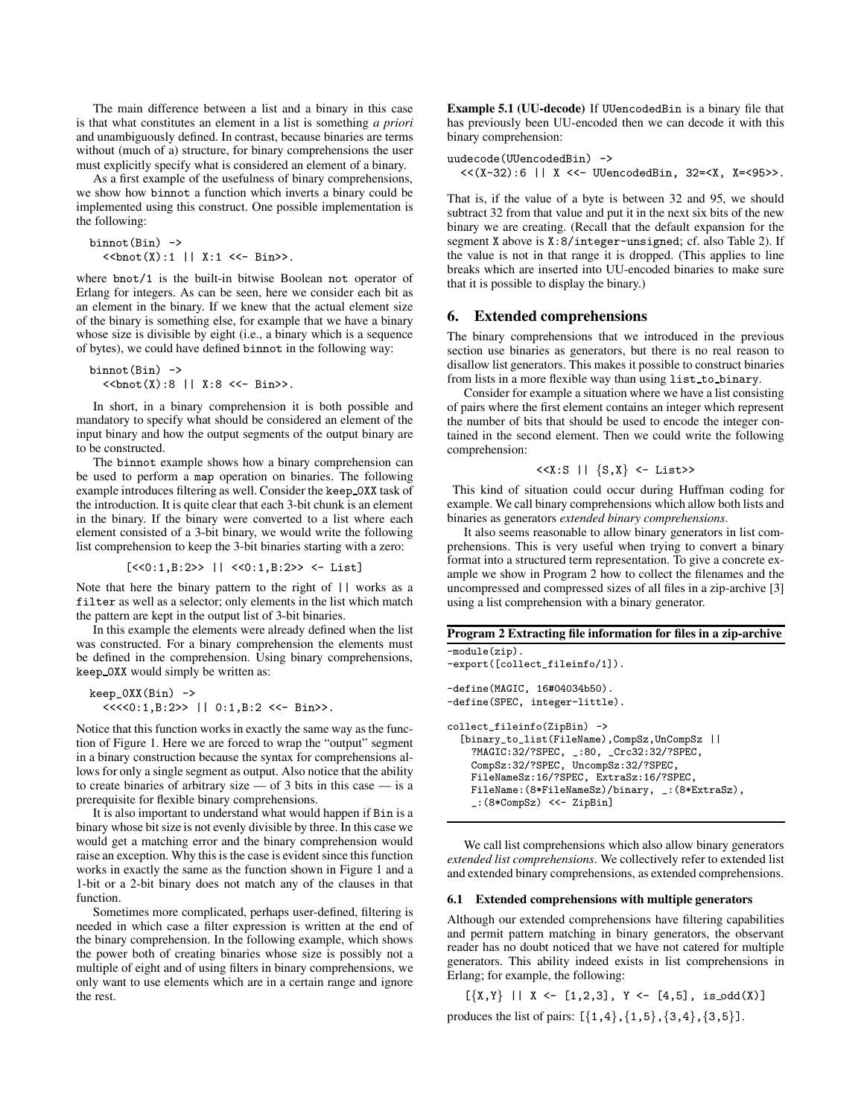The main difference between a list and a binary in this case is that what constitutes an element in a list is something *a priori* and unambiguously defined. In contrast, because binaries are terms without (much of a) structure, for binary comprehensions the user must explicitly specify what is considered an element of a binary.

As a first example of the usefulness of binary comprehensions, we show how binnot a function which inverts a binary could be implemented using this construct. One possible implementation is the following:

```
binnot(Bin) ->
  <<bnot(X):1 || X:1 <<- Bin>>.
```
where bnot/1 is the built-in bitwise Boolean not operator of Erlang for integers. As can be seen, here we consider each bit as an element in the binary. If we knew that the actual element size of the binary is something else, for example that we have a binary whose size is divisible by eight (i.e., a binary which is a sequence of bytes), we could have defined binnot in the following way:

binnot $(Bin)$  ->

<<bnot(X):8 || X:8 <<- Bin>>.

In short, in a binary comprehension it is both possible and mandatory to specify what should be considered an element of the input binary and how the output segments of the output binary are to be constructed.

The binnot example shows how a binary comprehension can be used to perform a map operation on binaries. The following example introduces filtering as well. Consider the keep 0XX task of the introduction. It is quite clear that each 3-bit chunk is an element in the binary. If the binary were converted to a list where each element consisted of a 3-bit binary, we would write the following list comprehension to keep the 3-bit binaries starting with a zero:

 $[\langle 0.1, B:2 \rangle > | 1, 0.2 \rangle$  < [2>> <- List]

Note that here the binary pattern to the right of || works as a filter as well as a selector; only elements in the list which match the pattern are kept in the output list of 3-bit binaries.

In this example the elements were already defined when the list was constructed. For a binary comprehension the elements must be defined in the comprehension. Using binary comprehensions, keep 0XX would simply be written as:

 $keep_OXX(Bin)$  -> <<<<0:1,B:2>> || 0:1,B:2 <<- Bin>>.

Notice that this function works in exactly the same way as the function of Figure 1. Here we are forced to wrap the "output" segment in a binary construction because the syntax for comprehensions allows for only a single segment as output. Also notice that the ability to create binaries of arbitrary size  $-$  of 3 bits in this case  $-$  is a prerequisite for flexible binary comprehensions.

It is also important to understand what would happen if Bin is a binary whose bit size is not evenly divisible by three. In this case we would get a matching error and the binary comprehension would raise an exception. Why this is the case is evident since this function works in exactly the same as the function shown in Figure 1 and a 1-bit or a 2-bit binary does not match any of the clauses in that function.

Sometimes more complicated, perhaps user-defined, filtering is needed in which case a filter expression is written at the end of the binary comprehension. In the following example, which shows the power both of creating binaries whose size is possibly not a multiple of eight and of using filters in binary comprehensions, we only want to use elements which are in a certain range and ignore the rest.

**Example 5.1 (UU-decode)** If UUencodedBin is a binary file that has previously been UU-encoded then we can decode it with this binary comprehension:

```
uudecode(UUencodedBin) ->
 << (X-32):6 || X << UUencodedBin, 32=< X, X=<95>>.
```
That is, if the value of a byte is between 32 and 95, we should subtract 32 from that value and put it in the next six bits of the new binary we are creating. (Recall that the default expansion for the segment X above is X:8/integer-unsigned; cf. also Table 2). If the value is not in that range it is dropped. (This applies to line breaks which are inserted into UU-encoded binaries to make sure that it is possible to display the binary.)

## **6. Extended comprehensions**

The binary comprehensions that we introduced in the previous section use binaries as generators, but there is no real reason to disallow list generators. This makes it possible to construct binaries from lists in a more flexible way than using list to binary.

Consider for example a situation where we have a list consisting of pairs where the first element contains an integer which represent the number of bits that should be used to encode the integer contained in the second element. Then we could write the following comprehension:

$$
\langle\langle X:S \mid |\ \{S,X\} \langle -\_{List} \rangle\rangle
$$

This kind of situation could occur during Huffman coding for example. We call binary comprehensions which allow both lists and binaries as generators *extended binary comprehensions*.

It also seems reasonable to allow binary generators in list comprehensions. This is very useful when trying to convert a binary format into a structured term representation. To give a concrete example we show in Program 2 how to collect the filenames and the uncompressed and compressed sizes of all files in a zip-archive [3] using a list comprehension with a binary generator.

# **Program 2 Extracting file information for files in a zip-archive**

-module(zip). -export([collect\_fileinfo/1]). -define(MAGIC, 16#04034b50). -define(SPEC, integer-little). collect\_fileinfo(ZipBin) -> [binary\_to\_list(FileName),CompSz,UnCompSz || ?MAGIC:32/?SPEC, \_:80, \_Crc32:32/?SPEC, CompSz:32/?SPEC, UncompSz:32/?SPEC, FileNameSz:16/?SPEC, ExtraSz:16/?SPEC, FileName:(8\*FileNameSz)/binary, \_:(8\*ExtraSz), \_:(8\*CompSz) <<- ZipBin]

We call list comprehensions which also allow binary generators *extended list comprehensions*. We collectively refer to extended list and extended binary comprehensions, as extended comprehensions.

## **6.1 Extended comprehensions with multiple generators**

Although our extended comprehensions have filtering capabilities and permit pattern matching in binary generators, the observant reader has no doubt noticed that we have not catered for multiple generators. This ability indeed exists in list comprehensions in Erlang; for example, the following:

 $[\{X,Y\}$   $||$   $X \leftarrow [1,2,3]$ ,  $Y \leftarrow [4,5]$ , is odd $(X)$ ]

produces the list of pairs:  $[\{1,4\}, \{1,5\}, \{3,4\}, \{3,5\}].$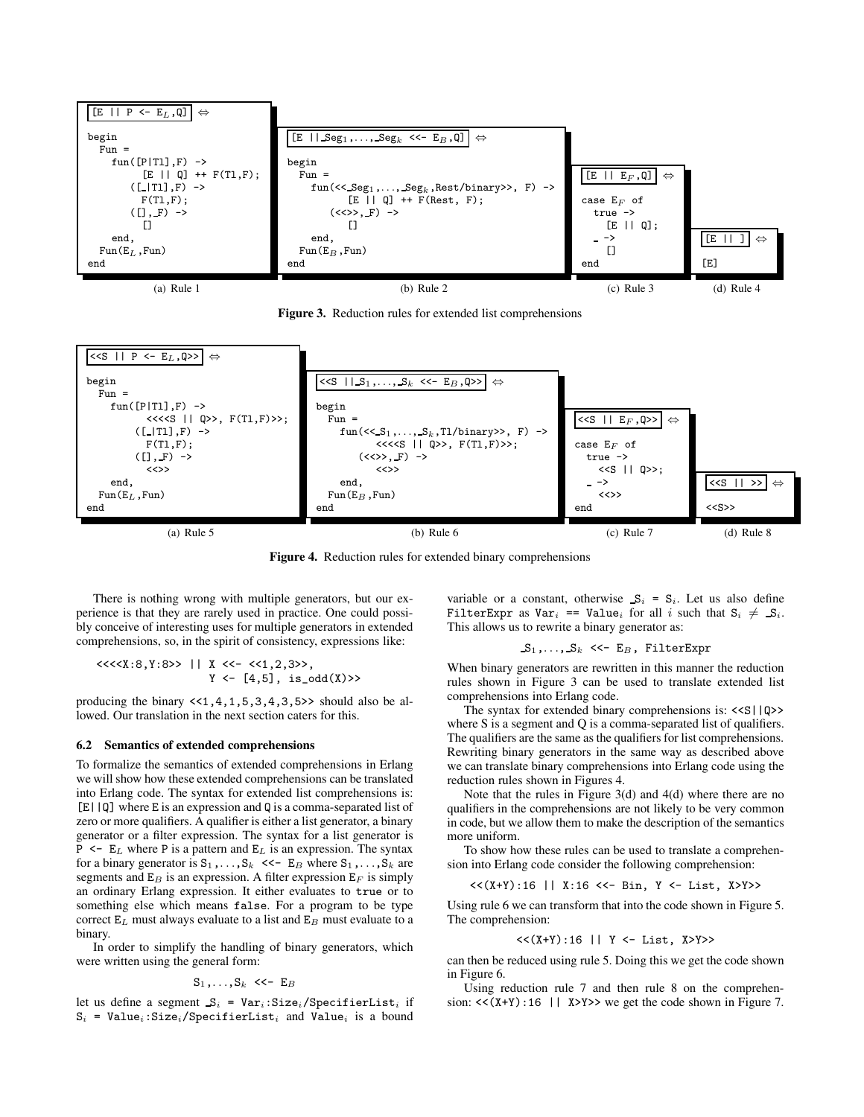

**Figure 3.** Reduction rules for extended list comprehensions



**Figure 4.** Reduction rules for extended binary comprehensions

There is nothing wrong with multiple generators, but our experience is that they are rarely used in practice. One could possibly conceive of interesting uses for multiple generators in extended comprehensions, so, in the spirit of consistency, expressions like:

$$
\begin{array}{lcl} <<<< \text{X}:8, Y:8 >> < | < X <<< << 1, 2, 3 >> \text{,} \\ & Y <<< [4, 5], \text{ is\_odd(X)} >> \end{array}
$$

producing the binary  $\langle 1, 4, 1, 5, 3, 4, 3, 5 \rangle$  should also be allowed. Our translation in the next section caters for this.

#### **6.2 Semantics of extended comprehensions**

To formalize the semantics of extended comprehensions in Erlang we willshow how these extended comprehensions can be translated into Erlang code. The syntax for extended list comprehensions is: [E||Q] where E is an expression and Q is a comma-separated list of zero or more qualifiers. A qualifier is either a list generator, a binary generator or a filter expression. The syntax for a list generator is P  $\leq$  E<sub>L</sub> where P is a pattern and E<sub>L</sub> is an expression. The syntax for a binary generator is  $S_1, \ldots, S_k$  <<-  $E_B$  where  $S_1, \ldots, S_k$  are segments and  $E_B$  is an expression. A filter expression  $E_F$  is simply an ordinary Erlang expression. It either evaluates to true or to something else which means false. For a program to be type correct  $E_L$  must always evaluate to a list and  $E_B$  must evaluate to a binary.

In order to simplify the handling of binary generators, which were written using the general form:

$$
\mathbf{S}_1,\ldots,\mathbf{S}_k \prec\leftarrow \mathbf{E}_B
$$

let us define a segment  $S_i$  = Var<sub>i</sub>: Size<sub>i</sub>/SpecifierList<sub>i</sub> if  $S_i$  = Value<sub>i</sub>:Size<sub>i</sub>/SpecifierList<sub>i</sub> and Value<sub>i</sub> is a bound

variable or a constant, otherwise  $S_i = S_i$ . Let us also define FilterExpr as  $Var_i == Value_i$  for all i such that  $S_i \neq S_i$ . This allows us to rewrite a binary generator as:

## $S_1, \ldots, S_k$  <<- E<sub>B</sub>, FilterExpr

When binary generators are rewritten in this manner the reduction rules shown in Figure 3 can be used to translate extended list comprehensions into Erlang code.

The syntax for extended binary comprehensions is: <<S||Q>> where S is a segment and Q is a comma-separated list of qualifiers. The qualifiers are the same as the qualifiers for list comprehensions. Rewriting binary generators in the same way as described above we can translate binary comprehensions into Erlang code using the reduction rules shown in Figures 4.

Note that the rules in Figure 3(d) and 4(d) where there are no qualifiers in the comprehensions are not likely to be very common in code, but we allow them to make the description of the semantics more uniform.

To show how these rules can be used to translate a comprehension into Erlang code consider the following comprehension:

<<(X+Y):16 || X:16 <<- Bin, Y <- List, X>Y>>

Using rule 6 we can transform that into the code shown in Figure 5. The comprehension:

#### <<(X+Y):16 || Y <- List, X>Y>>

can then be reduced using rule 5. Doing this we get the code shown in Figure 6.

Using reduction rule 7 and then rule 8 on the comprehension:  $<< (X+Y)$ : 16 || X>Y>> we get the code shown in Figure 7.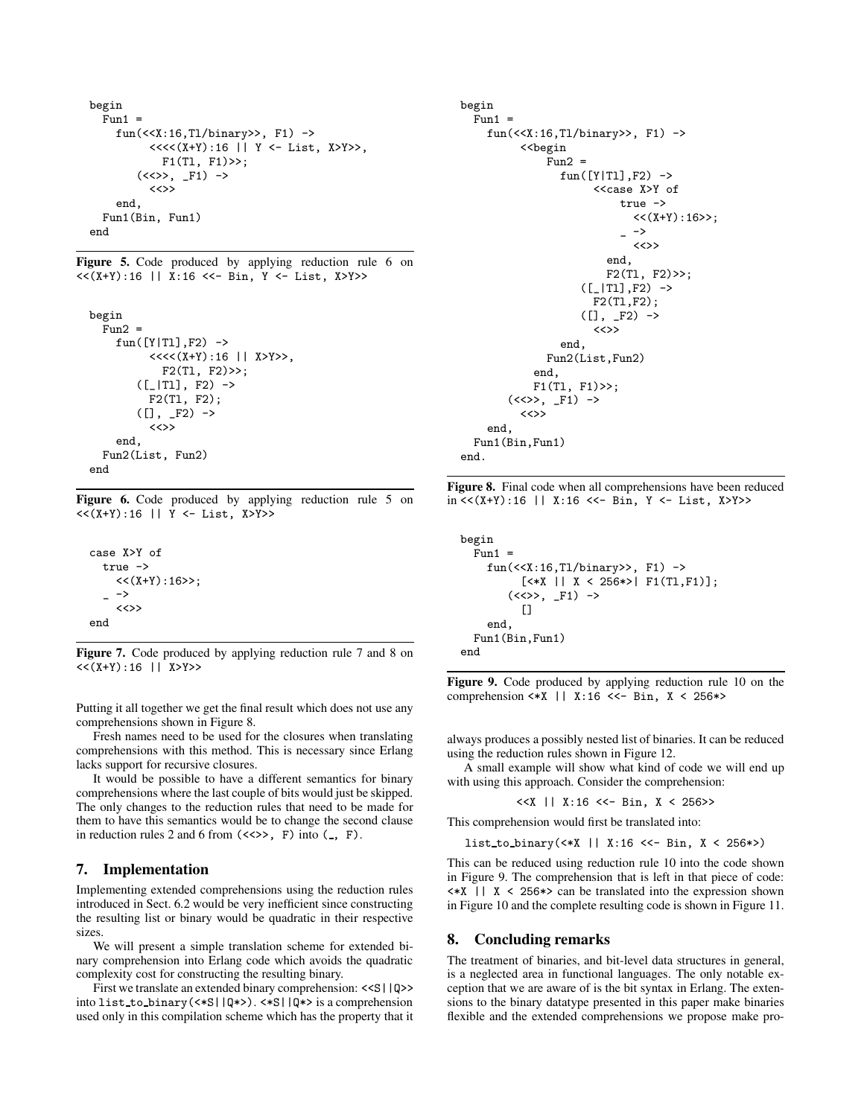```
begin
  Fun1 =fun(<<X:16,Tl/binary>>, F1) ->
         <<<<(X+Y):16 || Y <- List, X>Y>>,
           F1(Tl, F1)>>;
       (<<>>, _F1) ->
         <<>>
    end,
  Fun1(Bin, Fun1)
end
```
**Figure 5.** Code produced by applying reduction rule 6 on  $<<$  $(X+Y)$ :16 || X:16  $<<$ - Bin, Y  $<-$  List, X>Y>>

```
begin
  Fun2 =fun([Y|TI], F2) ->
         <<<<(X+Y):16 || X>Y>>,
           F2(Tl, F2)>>;
       ([_|Tl], F2) ->
         F2(Tl, F2);
       ([], -F2) ->
         <<>>
    end,
  Fun2(List, Fun2)
end
```
**Figure 6.** Code produced by applying reduction rule 5 on <<(X+Y):16 || Y <- List, X>Y>>

case X>Y of true ->  $<<$  $(X+Y):16>>;$  $-$  -> <<>> end

**Figure 7.** Code produced by applying reduction rule 7 and 8 on  $<<$ (X+Y):16 || X>Y>>

Putting it all together we get the final result which does not use any comprehensions shown in Figure 8.

Fresh names need to be used for the closures when translating comprehensions with this method. This is necessary since Erlang lacks support for recursive closures.

It would be possible to have a different semantics for binary comprehensions where the last couple of bits would just be skipped. The only changes to the reduction rules that need to be made for them to have this semantics would be to change the second clause in reduction rules 2 and 6 from  $(\langle\langle\rangle, F \rangle)$  into  $(\_, F)$ .

## **7. Implementation**

Implementing extended comprehensions using the reduction rules introduced in Sect. 6.2 would be very inefficient since constructing the resulting list or binary would be quadratic in their respective sizes.

We will present a simple translation scheme for extended binary comprehension into Erlang code which avoids the quadratic complexity cost for constructing the resulting binary.

First we translate an extended binary comprehension: <<S||Q>> into list to binary(<\*S||Q\*>). <\*S||Q\*> is a comprehension used only in this compilation scheme which has the property that it

```
begin
  Fun1 =fun(<X:16,T1/binary>>, F1) ->
           <<begin
                F<sub>11</sub>n2 =fun([Y|TI], F2) ->
                          <<case X>Y of
                               true ->
                                 <<(X+Y):16>>;
                                 \rightarrow<<>>
                            end,
                            F2(T1, F2) \gg;([-|T1], F2) ->
                         F2(Tl,F2);
                       ([], F2) \rightarrow<<>>
                   end,
                Fun2(List,Fun2)
              end,
              F1(Tl, F1)>>;
         (\langle \langle \rangle, F1) \rightarrow<<>>
     end,
  Fun1(Bin,Fun1)
end.
```
**Figure 8.** Final code when all comprehensions have been reduced  $in \ll (X+Y):16$  || X:16  $<<$ - Bin, Y  $<<$  List, X>Y>>

```
begin
  Fun1 =fun(<<X:16,Tl/binary>>, F1) ->
            [\times \times \times || X < 256*>| F1(T1,F1)];
          (\langle\langle\rangle, F1) ->
            \Boxend,
  Fun1(Bin,Fun1)
end
```
**Figure 9.** Code produced by applying reduction rule 10 on the comprehension <\*X || X:16 <<- Bin, X < 256\*>

always produces a possibly nested list of binaries. It can be reduced using the reduction rules shown in Figure 12.

A small example will show what kind of code we will end up with using this approach. Consider the comprehension:

```
<< X || X:16 <<- Bin, X < 256>>
```
This comprehension would first be translated into:

```
list_to_binary(<*X || X:16 <<- Bin, X < 256*>)
```
This can be reduced using reduction rule 10 into the code shown in Figure 9. The comprehension that is left in that piece of code:  $\langle *X \mid \cdot \rangle$  X < 256\*> can be translated into the expression shown in Figure 10 and the complete resulting code is shown in Figure 11.

## **8. Concluding remarks**

The treatment of binaries, and bit-level data structures in general, is a neglected area in functional languages. The only notable exception that we are aware of is the bit syntax in Erlang. The extensions to the binary datatype presented in this paper make binaries flexible and the extended comprehensions we propose make pro-